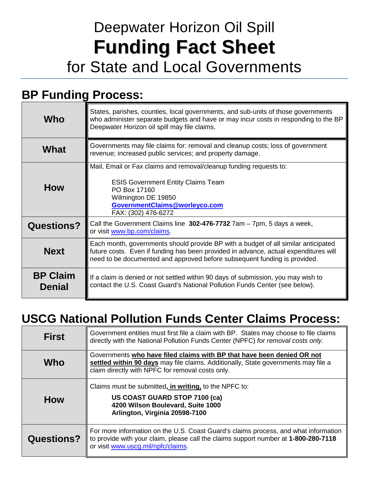# Deepwater Horizon Oil Spill **Funding Fact Sheet** for State and Local Governments

### **BP Funding Process:**

| Who                              | States, parishes, counties, local governments, and sub-units of those governments<br>who administer separate budgets and have or may incur costs in responding to the BP<br>Deepwater Horizon oil spill may file claims.                                |
|----------------------------------|---------------------------------------------------------------------------------------------------------------------------------------------------------------------------------------------------------------------------------------------------------|
| What                             | Governments may file claims for: removal and cleanup costs; loss of government<br>revenue; increased public services; and property damage.                                                                                                              |
| How                              | Mail, Email or Fax claims and removal/cleanup funding requests to:<br><b>ESIS Government Entity Claims Team</b><br>PO Box 17160<br>Wilmington DE 19850<br>GovernmentClaims@worleyco.com<br>FAX: (302) 476-6272                                          |
| <b>Questions?</b>                | Call the Government Claims line 302-476-7732 7am - 7pm, 5 days a week,<br>or visit www.bp.com/claims                                                                                                                                                    |
| <b>Next</b>                      | Each month, governments should provide BP with a budget of all similar anticipated<br>future costs. Even if funding has been provided in advance, actual expenditures will<br>need to be documented and approved before subsequent funding is provided. |
| <b>BP Claim</b><br><b>Denial</b> | If a claim is denied or not settled within 90 days of submission, you may wish to<br>contact the U.S. Coast Guard's National Pollution Funds Center (see below).                                                                                        |

## **USCG National Pollution Funds Center Claims Process:**

| <b>First</b>      | Government entities must first file a claim with BP. States may choose to file claims<br>directly with the National Pollution Funds Center (NPFC) for removal costs only.                                        |
|-------------------|------------------------------------------------------------------------------------------------------------------------------------------------------------------------------------------------------------------|
| Who               | Governments who have filed claims with BP that have been denied OR not<br>settled within 90 days may file claims. Additionally, State governments may file a<br>claim directly with NPFC for removal costs only. |
| <b>How</b>        | Claims must be submitted, in writing, to the NPFC to:<br><b>US COAST GUARD STOP 7100 (ca)</b><br>4200 Wilson Boulevard, Suite 1000<br>Arlington, Virginia 20598-7100                                             |
| <b>Questions?</b> | For more information on the U.S. Coast Guard's claims process, and what information<br>to provide with your claim, please call the claims support number at 1-800-280-7118<br>or visit www.uscg.mil/npfc/claims. |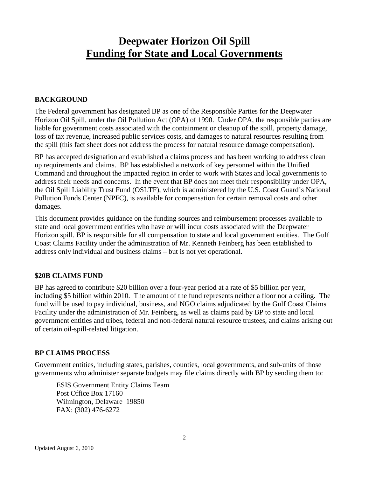### **Deepwater Horizon Oil Spill Funding for State and Local Governments**

#### **BACKGROUND**

The Federal government has designated BP as one of the Responsible Parties for the Deepwater Horizon Oil Spill, under the Oil Pollution Act (OPA) of 1990. Under OPA, the responsible parties are liable for government costs associated with the containment or cleanup of the spill, property damage, loss of tax revenue, increased public services costs, and damages to natural resources resulting from the spill (this fact sheet does not address the process for natural resource damage compensation).

BP has accepted designation and established a claims process and has been working to address clean up requirements and claims. BP has established a network of key personnel within the Unified Command and throughout the impacted region in order to work with States and local governments to address their needs and concerns. In the event that BP does not meet their responsibility under OPA, the Oil Spill Liability Trust Fund (OSLTF), which is administered by the U.S. Coast Guard's National Pollution Funds Center (NPFC), is available for compensation for certain removal costs and other damages.

This document provides guidance on the funding sources and reimbursement processes available to state and local government entities who have or will incur costs associated with the Deepwater Horizon spill. BP is responsible for all compensation to state and local government entities. The Gulf Coast Claims Facility under the administration of Mr. Kenneth Feinberg has been established to address only individual and business claims – but is not yet operational.

#### **\$20B CLAIMS FUND**

BP has agreed to contribute \$20 billion over a four-year period at a rate of \$5 billion per year, including \$5 billion within 2010. The amount of the fund represents neither a floor nor a ceiling. The fund will be used to pay individual, business, and NGO claims adjudicated by the Gulf Coast Claims Facility under the administration of Mr. Feinberg, as well as claims paid by BP to state and local government entities and tribes, federal and non-federal natural resource trustees, and claims arising out of certain oil-spill-related litigation.

#### **BP CLAIMS PROCESS**

Government entities, including states, parishes, counties, local governments, and sub-units of those governments who administer separate budgets may file claims directly with BP by sending them to:

ESIS Government Entity Claims Team Post Office Box 17160 Wilmington, Delaware 19850 FAX: (302) 476-6272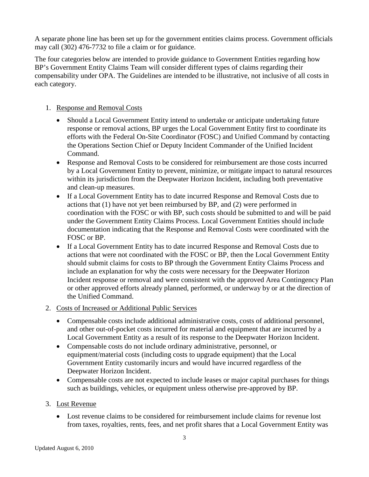A separate phone line has been set up for the government entities claims process. Government officials may call (302) 476-7732 to file a claim or for guidance.

The four categories below are intended to provide guidance to Government Entities regarding how BP's Government Entity Claims Team will consider different types of claims regarding their compensability under OPA. The Guidelines are intended to be illustrative, not inclusive of all costs in each category.

#### 1. Response and Removal Costs

- Should a Local Government Entity intend to undertake or anticipate undertaking future response or removal actions, BP urges the Local Government Entity first to coordinate its efforts with the Federal On-Site Coordinator (FOSC) and Unified Command by contacting the Operations Section Chief or Deputy Incident Commander of the Unified Incident Command.
- Response and Removal Costs to be considered for reimbursement are those costs incurred by a Local Government Entity to prevent, minimize, or mitigate impact to natural resources within its jurisdiction from the Deepwater Horizon Incident, including both preventative and clean-up measures.
- If a Local Government Entity has to date incurred Response and Removal Costs due to actions that (1) have not yet been reimbursed by BP, and (2) were performed in coordination with the FOSC or with BP, such costs should be submitted to and will be paid under the Government Entity Claims Process. Local Government Entities should include documentation indicating that the Response and Removal Costs were coordinated with the FOSC or BP.
- If a Local Government Entity has to date incurred Response and Removal Costs due to actions that were not coordinated with the FOSC or BP, then the Local Government Entity should submit claims for costs to BP through the Government Entity Claims Process and include an explanation for why the costs were necessary for the Deepwater Horizon Incident response or removal and were consistent with the approved Area Contingency Plan or other approved efforts already planned, performed, or underway by or at the direction of the Unified Command.
- 2. Costs of Increased or Additional Public Services
	- Compensable costs include additional administrative costs, costs of additional personnel, and other out-of-pocket costs incurred for material and equipment that are incurred by a Local Government Entity as a result of its response to the Deepwater Horizon Incident.
	- Compensable costs do not include ordinary administrative, personnel, or equipment/material costs (including costs to upgrade equipment) that the Local Government Entity customarily incurs and would have incurred regardless of the Deepwater Horizon Incident.
	- Compensable costs are not expected to include leases or major capital purchases for things such as buildings, vehicles, or equipment unless otherwise pre-approved by BP.

#### 3. Lost Revenue

• Lost revenue claims to be considered for reimbursement include claims for revenue lost from taxes, royalties, rents, fees, and net profit shares that a Local Government Entity was